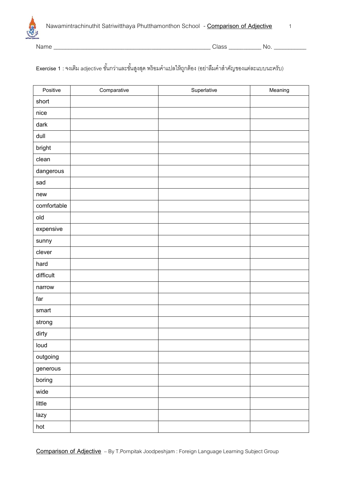

Name \_\_\_\_\_\_\_\_\_\_\_\_\_\_\_\_\_\_\_\_\_\_\_\_\_\_\_\_\_\_\_\_\_\_\_\_\_\_\_\_\_\_\_\_\_\_\_\_\_\_\_\_\_ Class \_\_\_\_\_\_\_\_\_\_\_ No. \_\_\_\_\_\_\_\_\_\_\_

## E**xercise 1** : จงเติม adjective ขั้นกว่าและขั้นสูงสุด พร้อมคำแปลให้ถูกต้อง (อย่าลืมคำสำคัญของแต่ละแบบนะครับ)

| Positive    | Comparative | Superlative | Meaning |
|-------------|-------------|-------------|---------|
| short       |             |             |         |
| nice        |             |             |         |
| dark        |             |             |         |
| dull        |             |             |         |
| bright      |             |             |         |
| clean       |             |             |         |
| dangerous   |             |             |         |
| sad         |             |             |         |
| new         |             |             |         |
| comfortable |             |             |         |
| old         |             |             |         |
| expensive   |             |             |         |
| sunny       |             |             |         |
| clever      |             |             |         |
| hard        |             |             |         |
| difficult   |             |             |         |
| narrow      |             |             |         |
| far         |             |             |         |
| smart       |             |             |         |
| strong      |             |             |         |
| dirty       |             |             |         |
| loud        |             |             |         |
| outgoing    |             |             |         |
| generous    |             |             |         |
| boring      |             |             |         |
| wide        |             |             |         |
| little      |             |             |         |
| lazy        |             |             |         |
| hot         |             |             |         |